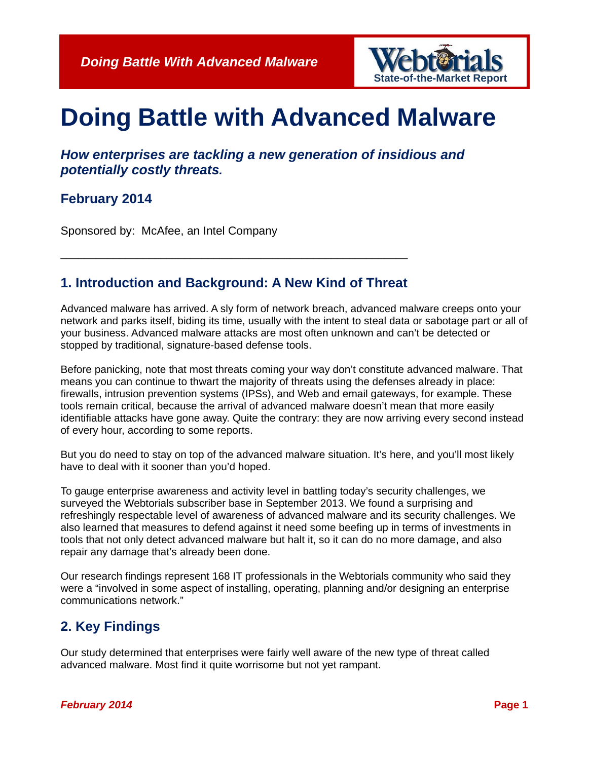

# **Doing Battle with Advanced Malware**

*How enterprises are tackling a new generation of insidious and potentially costly threats.*

#### **February 2014**

Sponsored by: McAfee, an Intel Company

#### **1. Introduction and Background: A New Kind of Threat**

\_\_\_\_\_\_\_\_\_\_\_\_\_\_\_\_\_\_\_\_\_\_\_\_\_\_\_\_\_\_\_\_\_\_\_\_\_\_\_\_\_\_\_\_\_\_\_\_\_\_\_\_\_\_\_\_\_\_\_

Advanced malware has arrived. A sly form of network breach, advanced malware creeps onto your network and parks itself, biding its time, usually with the intent to steal data or sabotage part or all of your business. Advanced malware attacks are most often unknown and can't be detected or stopped by traditional, signature-based defense tools.

Before panicking, note that most threats coming your way don't constitute advanced malware. That means you can continue to thwart the majority of threats using the defenses already in place: firewalls, intrusion prevention systems (IPSs), and Web and email gateways, for example. These tools remain critical, because the arrival of advanced malware doesn't mean that more easily identifiable attacks have gone away. Quite the contrary: they are now arriving every second instead of every hour, according to some reports.

But you do need to stay on top of the advanced malware situation. It's here, and you'll most likely have to deal with it sooner than you'd hoped.

To gauge enterprise awareness and activity level in battling today's security challenges, we surveyed the Webtorials subscriber base in September 2013. We found a surprising and refreshingly respectable level of awareness of advanced malware and its security challenges. We also learned that measures to defend against it need some beefing up in terms of investments in tools that not only detect advanced malware but halt it, so it can do no more damage, and also repair any damage that's already been done.

Our research findings represent 168 IT professionals in the Webtorials community who said they were a "involved in some aspect of installing, operating, planning and/or designing an enterprise communications network."

### **2. Key Findings**

Our study determined that enterprises were fairly well aware of the new type of threat called advanced malware. Most find it quite worrisome but not yet rampant.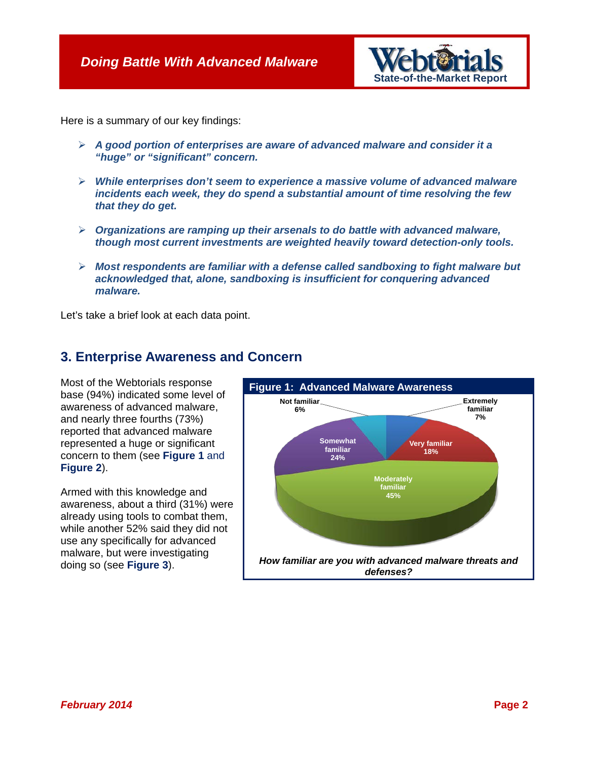

Here is a summary of our key findings:

- *A good portion of enterprises are aware of advanced malware and consider it a "huge" or "significant" concern.*
- *While enterprises don't seem to experience a massive volume of advanced malware incidents each week, they do spend a substantial amount of time resolving the few that they do get.*
- *Organizations are ramping up their arsenals to do battle with advanced malware, though most current investments are weighted heavily toward detection-only tools.*
- *Most respondents are familiar with a defense called sandboxing to fight malware but acknowledged that, alone, sandboxing is insufficient for conquering advanced malware.*

Let's take a brief look at each data point.

#### **3. Enterprise Awareness and Concern**

Most of the Webtorials response base (94%) indicated some level of awareness of advanced malware, and nearly three fourths (73%) reported that advanced malware represented a huge or significant concern to them (see **Figure 1** and **Figure 2**).

Armed with this knowledge and awareness, about a third (31%) were already using tools to combat them, while another 52% said they did not use any specifically for advanced malware, but were investigating doing so (see **Figure 3**).

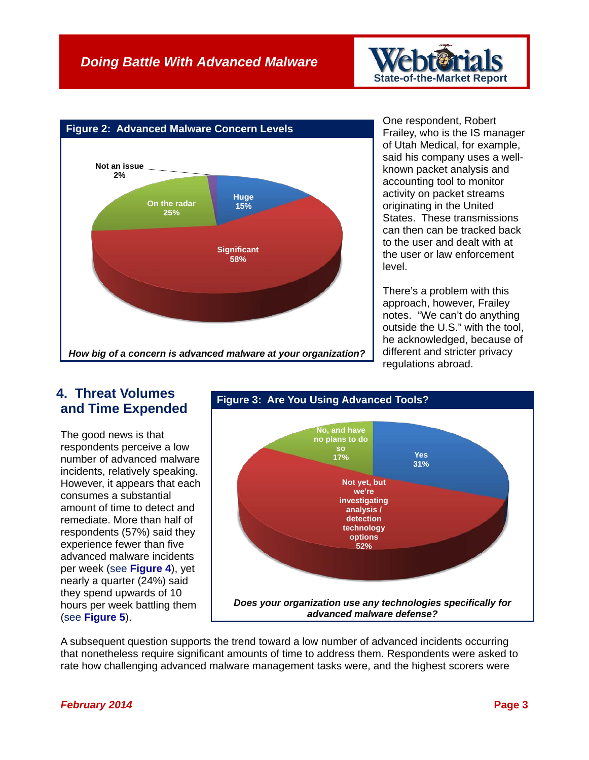## *Doing Battle With Advanced Malware*



One respondent, Robert Frailey, who is the IS manager of Utah Medical, for example, said his company uses a wellknown packet analysis and accounting tool to monitor activity on packet streams originating in the United States. These transmissions can then can be tracked back to the user and dealt with at the user or law enforcement level.

**State-of-the-Market Report**

There's a problem with this approach, however, Frailey notes. "We can't do anything outside the U.S." with the tool, he acknowledged, because of different and stricter privacy regulations abroad.

#### **4. Threat Volumes and Time Expended**

The good news is that respondents perceive a low number of advanced malware incidents, relatively speaking. However, it appears that each consumes a substantial amount of time to detect and remediate. More than half of respondents (57%) said they experience fewer than five advanced malware incidents per week (see **Figure 4**), yet nearly a quarter (24%) said they spend upwards of 10 hours per week battling them (see **Figure 5**).



A subsequent question supports the trend toward a low number of advanced incidents occurring that nonetheless require significant amounts of time to address them. Respondents were asked to rate how challenging advanced malware management tasks were, and the highest scorers were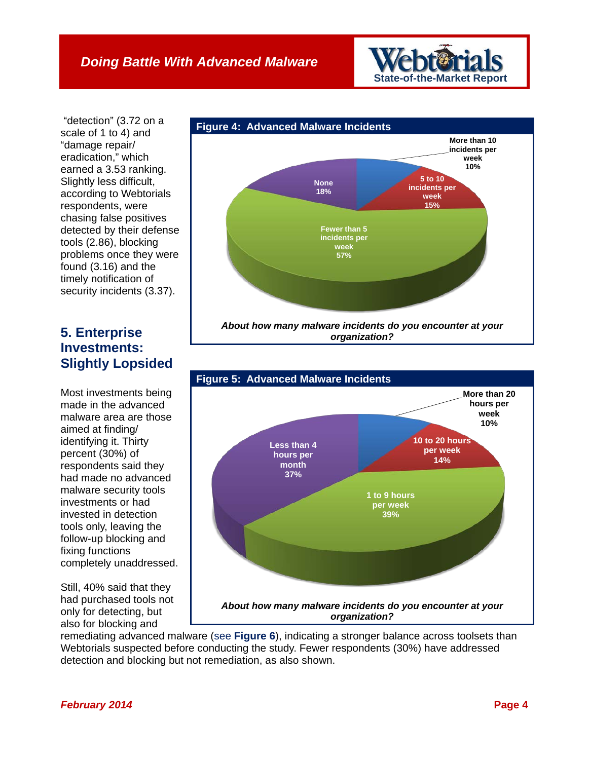**State-of-the-Market Report**

"detection" (3.72 on a scale of 1 to 4) and "damage repair/ eradication," which earned a 3.53 ranking. Slightly less difficult, according to Webtorials respondents, were chasing false positives detected by their defense tools (2.86), blocking problems once they were found (3.16) and the timely notification of security incidents (3.37).

## **5. Enterprise Investments: Slightly Lopsided**

Most investments being made in the advanced malware area are those aimed at finding/ identifying it. Thirty percent (30%) of respondents said they had made no advanced malware security tools investments or had invested in detection tools only, leaving the follow-up blocking and fixing functions completely unaddressed.

Still, 40% said that they had purchased tools not only for detecting, but also for blocking and



*organization?*



remediating advanced malware (see **Figure 6**), indicating a stronger balance across toolsets than Webtorials suspected before conducting the study. Fewer respondents (30%) have addressed detection and blocking but not remediation, as also shown.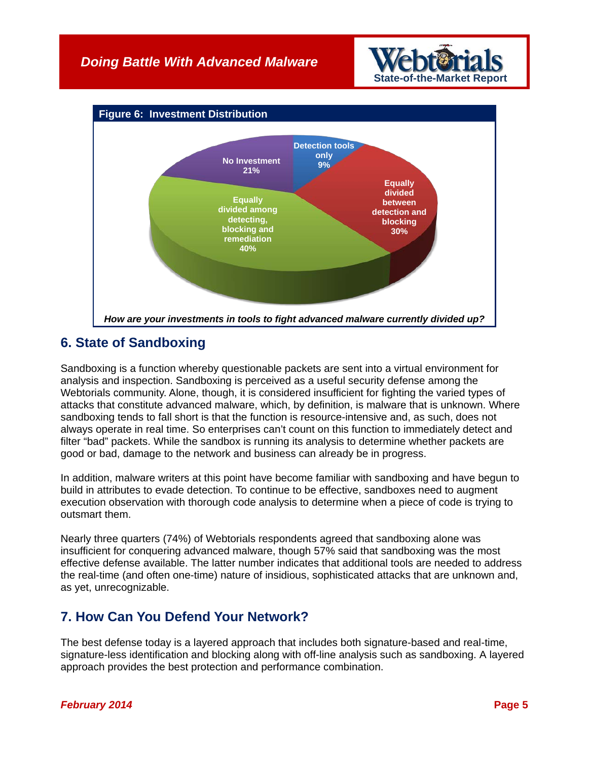

**Sof-the-Market Report** 

#### **6. State of Sandboxing**

Sandboxing is a function whereby questionable packets are sent into a virtual environment for analysis and inspection. Sandboxing is perceived as a useful security defense among the Webtorials community. Alone, though, it is considered insufficient for fighting the varied types of attacks that constitute advanced malware, which, by definition, is malware that is unknown. Where sandboxing tends to fall short is that the function is resource-intensive and, as such, does not always operate in real time. So enterprises can't count on this function to immediately detect and filter "bad" packets. While the sandbox is running its analysis to determine whether packets are good or bad, damage to the network and business can already be in progress.

In addition, malware writers at this point have become familiar with sandboxing and have begun to build in attributes to evade detection. To continue to be effective, sandboxes need to augment execution observation with thorough code analysis to determine when a piece of code is trying to outsmart them.

Nearly three quarters (74%) of Webtorials respondents agreed that sandboxing alone was insufficient for conquering advanced malware, though 57% said that sandboxing was the most effective defense available. The latter number indicates that additional tools are needed to address the real-time (and often one-time) nature of insidious, sophisticated attacks that are unknown and, as yet, unrecognizable.

### **7. How Can You Defend Your Network?**

The best defense today is a layered approach that includes both signature-based and real-time, signature-less identification and blocking along with off-line analysis such as sandboxing. A layered approach provides the best protection and performance combination.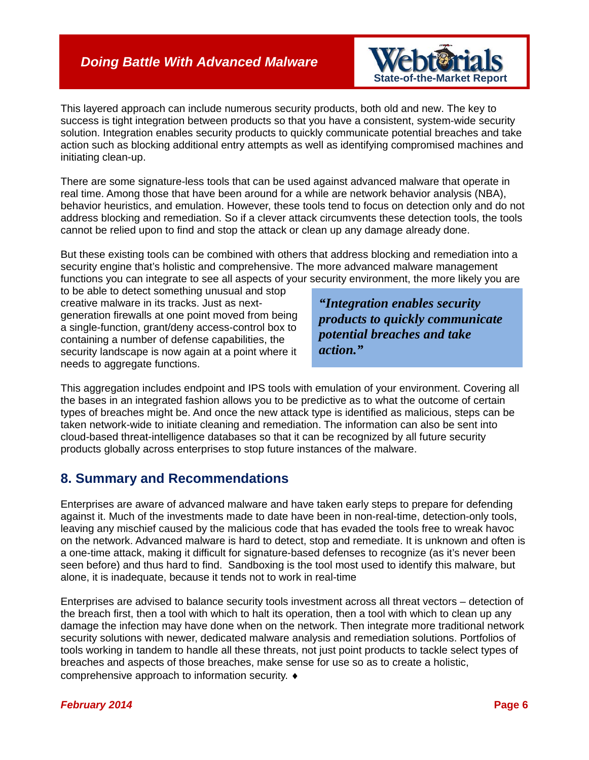#### *Doing Battle With Advanced Malware*



This layered approach can include numerous security products, both old and new. The key to success is tight integration between products so that you have a consistent, system-wide security solution. Integration enables security products to quickly communicate potential breaches and take action such as blocking additional entry attempts as well as identifying compromised machines and initiating clean-up.

There are some signature-less tools that can be used against advanced malware that operate in real time. Among those that have been around for a while are network behavior analysis (NBA), behavior heuristics, and emulation. However, these tools tend to focus on detection only and do not address blocking and remediation. So if a clever attack circumvents these detection tools, the tools cannot be relied upon to find and stop the attack or clean up any damage already done.

But these existing tools can be combined with others that address blocking and remediation into a security engine that's holistic and comprehensive. The more advanced malware management functions you can integrate to see all aspects of your security environment, the more likely you are

to be able to detect something unusual and stop creative malware in its tracks. Just as nextgeneration firewalls at one point moved from being a single-function, grant/deny access-control box to containing a number of defense capabilities, the security landscape is now again at a point where it needs to aggregate functions.

*"Integration enables security products to quickly communicate potential breaches and take action."*

This aggregation includes endpoint and IPS tools with emulation of your environment. Covering all the bases in an integrated fashion allows you to be predictive as to what the outcome of certain types of breaches might be. And once the new attack type is identified as malicious, steps can be taken network-wide to initiate cleaning and remediation. The information can also be sent into cloud-based threat-intelligence databases so that it can be recognized by all future security products globally across enterprises to stop future instances of the malware.

#### **8. Summary and Recommendations**

Enterprises are aware of advanced malware and have taken early steps to prepare for defending against it. Much of the investments made to date have been in non-real-time, detection-only tools, leaving any mischief caused by the malicious code that has evaded the tools free to wreak havoc on the network. Advanced malware is hard to detect, stop and remediate. It is unknown and often is a one-time attack, making it difficult for signature-based defenses to recognize (as it's never been seen before) and thus hard to find. Sandboxing is the tool most used to identify this malware, but alone, it is inadequate, because it tends not to work in real-time

Enterprises are advised to balance security tools investment across all threat vectors – detection of the breach first, then a tool with which to halt its operation, then a tool with which to clean up any damage the infection may have done when on the network. Then integrate more traditional network security solutions with newer, dedicated malware analysis and remediation solutions. Portfolios of tools working in tandem to handle all these threats, not just point products to tackle select types of breaches and aspects of those breaches, make sense for use so as to create a holistic, comprehensive approach to information security. ♦